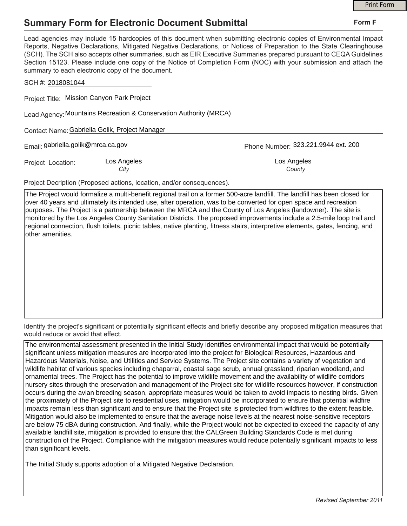## **Summary Form for Electronic Document Submittal**

|                                                                                                                                                                                                                                                                                                                                                                                                                                                                                       | <b>Print Form</b>                   |
|---------------------------------------------------------------------------------------------------------------------------------------------------------------------------------------------------------------------------------------------------------------------------------------------------------------------------------------------------------------------------------------------------------------------------------------------------------------------------------------|-------------------------------------|
| <b>Summary Form for Electronic Document Submittal</b>                                                                                                                                                                                                                                                                                                                                                                                                                                 | Form F                              |
| Lead agencies may include 15 hardcopies of this document when submitting electronic copies of Environmental Impact<br>Reports, Negative Declarations, Mitigated Negative Declarations, or Notices of Preparation to the State Clearinghouse<br>(SCH). The SCH also accepts other summaries, such as EIR Executive Summaries prepared pursuant to CEQA Guidelines<br>Section 15123. Please include one copy of the Notice of Completion Form (NOC) with your submission and attach the |                                     |
|                                                                                                                                                                                                                                                                                                                                                                                                                                                                                       |                                     |
|                                                                                                                                                                                                                                                                                                                                                                                                                                                                                       |                                     |
|                                                                                                                                                                                                                                                                                                                                                                                                                                                                                       |                                     |
|                                                                                                                                                                                                                                                                                                                                                                                                                                                                                       |                                     |
|                                                                                                                                                                                                                                                                                                                                                                                                                                                                                       |                                     |
| Los Angeles<br>County                                                                                                                                                                                                                                                                                                                                                                                                                                                                 |                                     |
|                                                                                                                                                                                                                                                                                                                                                                                                                                                                                       | Phone Number: 323.221.9944 ext. 200 |

Project Decription (Proposed actions, location, and/or consequences).

The Project would formalize a multi-benefit regional trail on a former 500-acre landfill. The landfill has been closed for over 40 years and ultimately its intended use, after operation, was to be converted for open space and recreation purposes. The Project is a partnership between the MRCA and the County of Los Angeles (landowner). The site is monitored by the Los Angeles County Sanitation Districts. The proposed improvements include a 2.5-mile loop trail and regional connection, flush toilets, picnic tables, native planting, fitness stairs, interpretive elements, gates, fencing, and other amenities.

Identify the project's significant or potentially significant effects and briefly describe any proposed mitigation measures that would reduce or avoid that effect.

The environmental assessment presented in the Initial Study identifies environmental impact that would be potentially significant unless mitigation measures are incorporated into the project for Biological Resources, Hazardous and Hazardous Materials, Noise, and Utilities and Service Systems. The Project site contains a variety of vegetation and wildlife habitat of various species including chaparral, coastal sage scrub, annual grassland, riparian woodland, and ornamental trees. The Project has the potential to improve wildlife movement and the availability of wildlife corridors nursery sites through the preservation and management of the Project site for wildlife resources however, if construction occurs during the avian breeding season, appropriate measures would be taken to avoid impacts to nesting birds. Given the proximately of the Project site to residential uses, mitigation would be incorporated to ensure that potential wildfire impacts remain less than significant and to ensure that the Project site is protected from wildfires to the extent feasible. Mitigation would also be implemented to ensure that the average noise levels at the nearest noise-sensitive receptors are below 75 dBA during construction. And finally, while the Project would not be expected to exceed the capacity of any available landfill site, mitigation is provided to ensure that the CALGreen Building Standards Code is met during construction of the Project. Compliance with the mitigation measures would reduce potentially significant impacts to less than significant levels.

The Initial Study supports adoption of a Mitigated Negative Declaration.